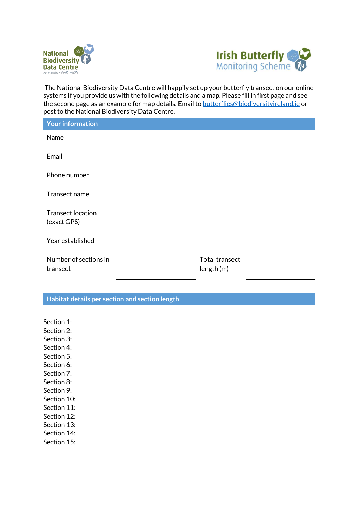



The National Biodiversity Data Centre will happily set up your butterfly transect on our online systems if you provide us with the following details and a map. Please fill in first page and see the second page as an example for map details. Email t[o butterflies@biodiversityireland.ie](mailto:butterflies@biodiversityireland.ie) or post to the National Biodiversity Data Centre.

| <b>Your information</b>                 |                                     |
|-----------------------------------------|-------------------------------------|
| Name                                    |                                     |
| Email                                   |                                     |
| Phone number                            |                                     |
| Transect name                           |                                     |
| <b>Transect location</b><br>(exact GPS) |                                     |
| Year established                        |                                     |
| Number of sections in<br>transect       | <b>Total transect</b><br>length (m) |

## **Habitat details per section and section length**

Section 1: Section 2: Section 3: Section 4: Section 5: Section 6: Section 7: Section 8: Section 9: Section 10: Section 11: Section 12: Section 13: Section 14: Section 15: